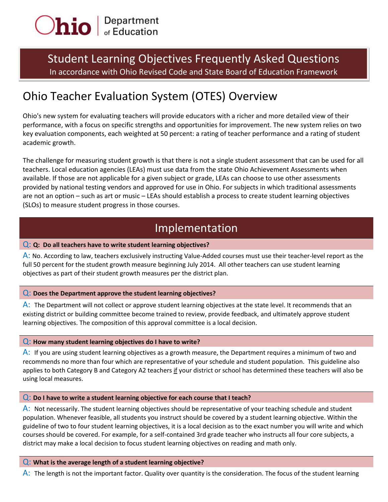

# Student Learning Objectives Frequently Asked Questions In accordance with Ohio Revised Code and State Board of Education Framework

# Ohio Teacher Evaluation System (OTES) Overview

Ohio's new system for evaluating teachers will provide educators with a richer and more detailed view of their performance, with a focus on specific strengths and opportunities for improvement. The new system relies on two key evaluation components, each weighted at 50 percent: a rating of teacher performance and a rating of student academic growth.

The challenge for measuring student growth is that there is not a single student assessment that can be used for all teachers. Local education agencies (LEAs) must use data from the state Ohio Achievement Assessments when available. If those are not applicable for a given subject or grade, LEAs can choose to use other assessments provided by national testing vendors and approved for use in Ohio. For subjects in which traditional assessments are not an option – such as art or music – LEAs should establish a process to create student learning objectives (SLOs) to measure student progress in those courses.

# Implementation

# Q: **Q: Do all teachers have to write student learning objectives?**

A: No. According to law, teachers exclusively instructing Value-Added courses must use their teacher-level report as the full 50 percent for the student growth measure beginning July 2014. All other teachers can use student learning objectives as part of their student growth measures per the district plan.

# Q: **Does the Department approve the student learning objectives?**

A: The Department will not collect or approve student learning objectives at the state level. It recommends that an existing district or building committee become trained to review, provide feedback, and ultimately approve student learning objectives. The composition of this approval committee is a local decision.

# Q: **How many student learning objectives do I have to write?**

A: If you are using student learning objectives as a growth measure, the Department requires a minimum of two and recommends no more than four which are representative of your schedule and student population. This guideline also applies to both Category B and Category A2 teachers if your district or school has determined these teachers will also be using local measures.

#### Q: **Do I have to write a student learning objective for each course that I teach?**

A: Not necessarily. The student learning objectives should be representative of your teaching schedule and student population. Whenever feasible, all students you instruct should be covered by a student learning objective. Within the guideline of two to four student learning objectives, it is a local decision as to the exact number you will write and which courses should be covered. For example, for a self-contained 3rd grade teacher who instructs all four core subjects, a district may make a local decision to focus student learning objectives on reading and math only.

# Q: **What is the average length of a student learning objective?**

 $\overline{A}$ : The length is not the important factor. Quality over quantity is the consideration. The focus of the student learning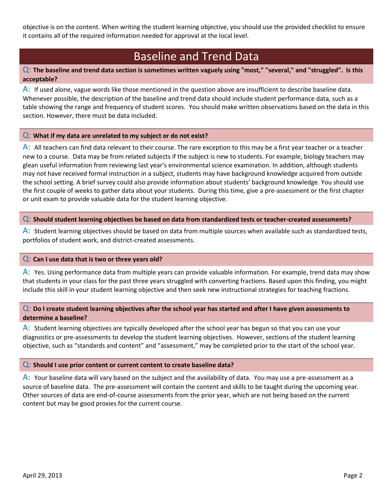objective is on the content. When writing the student learning objective, you should use the provided checklist to ensure it contains all of the required information needed for approval at the local level.

# Baseline and Trend Data

# Q: **The baseline and trend data section is sometimes written vaguely using "most," "several," and "struggled". Is this acceptable?**

A: If used alone, vague words like those mentioned in the question above are insufficient to describe baseline data. Whenever possible, the description of the baseline and trend data should include student performance data, such as a table showing the range and frequency of student scores. You should make written observations based on the data in this section. However, there must be data included.

### Q: **What if my data are unrelated to my subject or do not exist?**

A: All teachers can find data relevant to their course. The rare exception to this may be a first year teacher or a teacher new to a course. Data may be from related subjects if the subject is new to students. For example, biology teachers may glean useful information from reviewing last year's environmental science examination. In addition, although students may not have received formal instruction in a subject, students may have background knowledge acquired from outside the school setting. A brief survey could also provide information about students' background knowledge. You should use the first couple of weeks to gather data about your students. During this time, give a pre-assessment or the first chapter or unit exam to provide valuable data for the student learning objective.

### Q: **Should student learning objectives be based on data from standardized tests or teacher-created assessments?**

A: Student learning objectives should be based on data from multiple sources when available such as standardized tests, portfolios of student work, and district-created assessments.

# Q: **Can I use data that is two or three years old?**

A: Yes. Using performance data from multiple years can provide valuable information. For example, trend data may show that students in your class for the past three years struggled with converting fractions. Based upon this finding, you might include this skill in your student learning objective and then seek new instructional strategies for teaching fractions.

# Q: **Do I create student learning objectives after the school year has started and after I have given assessments to determine a baseline?**

A: Student learning objectives are typically developed after the school year has begun so that you can use your diagnostics or pre-assessments to develop the student learning objectives. However, sections of the student learning objective, such as "standards and content" and "assessment," may be completed prior to the start of the school year.

#### Q: **Should I use prior content or current content to create baseline data?**

A: Your baseline data will vary based on the subject and the availability of data. You may use a pre-assessment as a source of baseline data. The pre-assessment will contain the content and skills to be taught during the upcoming year. Other sources of data are end-of-course assessments from the prior year, which are not being based on the current content but may be good proxies for the current course.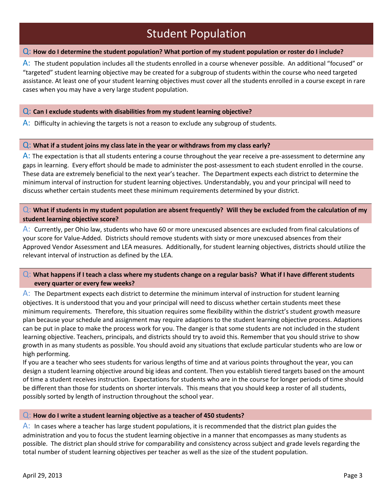# Student Population

### Q: **How do I determine the student population? What portion of my student population or roster do I include?**

A: The student population includes all the students enrolled in a course whenever possible. An additional "focused" or "targeted" student learning objective may be created for a subgroup of students within the course who need targeted assistance. At least one of your student learning objectives must cover all the students enrolled in a course except in rare cases when you may have a very large student population.

### Q: **Can I exclude students with disabilities from my student learning objective?**

A: Difficulty in achieving the targets is not a reason to exclude any subgroup of students.

### Q: **What if a student joins my class late in the year or withdraws from my class early?**

A: The expectation is that all students entering a course throughout the year receive a pre-assessment to determine any gaps in learning. Every effort should be made to administer the post-assessment to each student enrolled in the course. These data are extremely beneficial to the next year's teacher. The Department expects each district to determine the minimum interval of instruction for student learning objectives. Understandably, you and your principal will need to discuss whether certain students meet these minimum requirements determined by your district.

# Q: **What if students in my student population are absent frequently? Will they be excluded from the calculation of my student learning objective score?**

A: Currently, per Ohio law, students who have 60 or more unexcused absences are excluded from final calculations of your score for Value-Added. Districts should remove students with sixty or more unexcused absences from their Approved Vendor Assessment and LEA measures. Additionally, for student learning objectives, districts should utilize the relevant interval of instruction as defined by the LEA.

# Q: **What happens if I teach a class where my students change on a regular basis? What if I have different students every quarter or every few weeks?**

 $\overline{A}$ : The Department expects each district to determine the minimum interval of instruction for student learning objectives. It is understood that you and your principal will need to discuss whether certain students meet these minimum requirements. Therefore, this situation requires some flexibility within the district's student growth measure plan because your schedule and assignment may require adaptions to the student learning objective process. Adaptions can be put in place to make the process work for you. The danger is that some students are not included in the student learning objective. Teachers, principals, and districts should try to avoid this. Remember that you should strive to show growth in as many students as possible. You should avoid any situations that exclude particular students who are low or high performing.

If you are a teacher who sees students for various lengths of time and at various points throughout the year, you can design a student learning objective around big ideas and content. Then you establish tiered targets based on the amount of time a student receives instruction. Expectations for students who are in the course for longer periods of time should be different than those for students on shorter intervals. This means that you should keep a roster of all students, possibly sorted by length of instruction throughout the school year.

# Q: **How do I write a student learning objective as a teacher of 450 students?**

 $\overline{A}$ : In cases where a teacher has large student populations, it is recommended that the district plan guides the administration and you to focus the student learning objective in a manner that encompasses as many students as possible. The district plan should strive for comparability and consistency across subject and grade levels regarding the total number of student learning objectives per teacher as well as the size of the student population.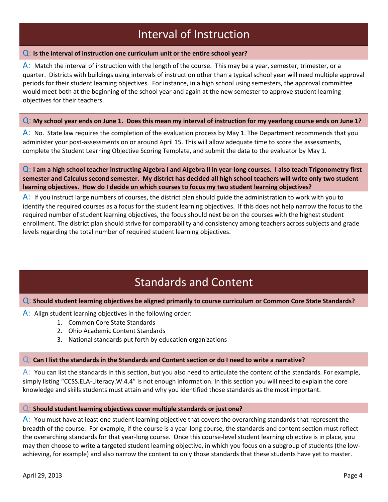# Interval of Instruction

### Q: **Is the interval of instruction one curriculum unit or the entire school year?**

A: Match the interval of instruction with the length of the course. This may be a year, semester, trimester, or a quarter. Districts with buildings using intervals of instruction other than a typical school year will need multiple approval periods for their student learning objectives. For instance, in a high school using semesters, the approval committee would meet both at the beginning of the school year and again at the new semester to approve student learning objectives for their teachers.

### Q: **My school year ends on June 1. Does this mean my interval of instruction for my yearlong course ends on June 1?**

A: No. State law requires the completion of the evaluation process by May 1. The Department recommends that you administer your post-assessments on or around April 15. This will allow adequate time to score the assessments, complete the Student Learning Objective Scoring Template, and submit the data to the evaluator by May 1.

Q: **I am a high school teacher instructing Algebra I and Algebra II in year-long courses. I also teach Trigonometry first semester and Calculus second semester. My district has decided all high school teachers will write only two student learning objectives. How do I decide on which courses to focus my two student learning objectives?**

A: If you instruct large numbers of courses, the district plan should guide the administration to work with you to identify the required courses as a focus for the student learning objectives. If this does not help narrow the focus to the required number of student learning objectives, the focus should next be on the courses with the highest student enrollment. The district plan should strive for comparability and consistency among teachers across subjects and grade levels regarding the total number of required student learning objectives.

# Standards and Content

### Q: **Should student learning objectives be aligned primarily to course curriculum or Common Core State Standards?**

# A: Align student learning objectives in the following order:

- 1. Common Core State Standards
- 2. Ohio Academic Content Standards
- 3. National standards put forth by education organizations

#### Q: **Can I list the standards in the Standards and Content section or do I need to write a narrative?**

A: You can list the standards in this section, but you also need to articulate the content of the standards. For example, simply listing "CCSS.ELA-Literacy.W.4.4" is not enough information. In this section you will need to explain the core knowledge and skills students must attain and why you identified those standards as the most important.

#### Q: **Should student learning objectives cover multiple standards or just one?**

A: You must have at least one student learning objective that covers the overarching standards that represent the breadth of the course. For example, if the course is a year-long course, the standards and content section must reflect the overarching standards for that year-long course. Once this course-level student learning objective is in place, you may then choose to write a targeted student learning objective, in which you focus on a subgroup of students (the lowachieving, for example) and also narrow the content to only those standards that these students have yet to master.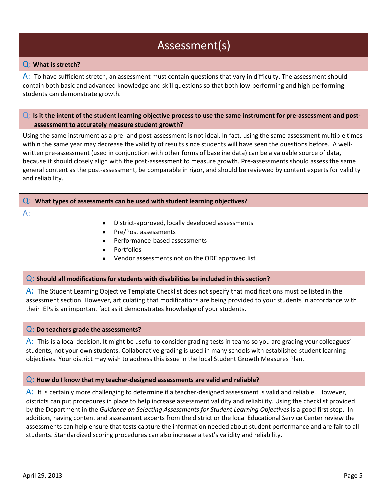# Assessment(s)

# Q: **What is stretch?**

A: To have sufficient stretch, an assessment must contain questions that vary in difficulty. The assessment should contain both basic and advanced knowledge and skill questions so that both low-performing and high-performing students can demonstrate growth.

# Q: **Is it the intent of the student learning objective process to use the same instrument for pre-assessment and postassessment to accurately measure student growth?**

Using the same instrument as a pre- and post-assessment is not ideal. In fact, using the same assessment multiple times within the same year may decrease the validity of results since students will have seen the questions before. A wellwritten pre-assessment (used in conjunction with other forms of baseline data) can be a valuable source of data, because it should closely align with the post-assessment to measure growth. Pre-assessments should assess the same general content as the post-assessment, be comparable in rigor, and should be reviewed by content experts for validity and reliability.

### Q: **What types of assessments can be used with student learning objectives?**

#### A:

- District-approved, locally developed assessments  $\bullet$
- Pre/Post assessments  $\bullet$
- Performance-based assessments
- Portfolios
- Vendor assessments not on the ODE approved list

#### Q: **Should all modifications for students with disabilities be included in this section?**

A: The Student Learning Objective Template Checklist does not specify that modifications must be listed in the assessment section. However, articulating that modifications are being provided to your students in accordance with their IEPs is an important fact as it demonstrates knowledge of your students.

#### Q: **Do teachers grade the assessments?**

A: This is a local decision. It might be useful to consider grading tests in teams so you are grading your colleagues' students, not your own students. Collaborative grading is used in many schools with established student learning objectives. Your district may wish to address this issue in the local Student Growth Measures Plan.

#### Q: **How do I know that my teacher-designed assessments are valid and reliable?**

A: It is certainly more challenging to determine if a teacher-designed assessment is valid and reliable. However, districts can put procedures in place to help increase assessment validity and reliability. Using the checklist provided by the Department in the *Guidance on Selecting Assessments for Student Learning Objectives* is a good first step. In addition, having content and assessment experts from the district or the local Educational Service Center review the assessments can help ensure that tests capture the information needed about student performance and are fair to all students. Standardized scoring procedures can also increase a test's validity and reliability.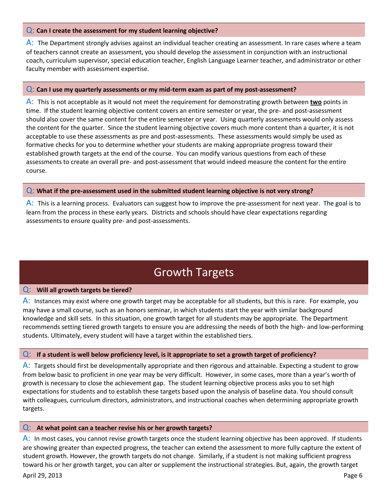### Q: **Can I create the assessment for my student learning objective?**

A: The Department strongly advises against an individual teacher creating an assessment. In rare cases where a team of teachers cannot create an assessment, you should develop the assessment in conjunction with an instructional coach, curriculum supervisor, special education teacher, English Language Learner teacher, and administrator or other faculty member with assessment expertise.

### Q: **Can I use my quarterly assessments or my mid-term exam as part of my post-assessment?**

A: This is not acceptable as it would not meet the requirement for demonstrating growth between **two** points in time. If the student learning objective content covers an entire semester or year, the pre- and post-assessment should also cover the same content for the entire semester or year. Using quarterly assessments would only assess the content for the quarter. Since the student learning objective covers much more content than a quarter, it is not acceptable to use these assessments as pre and post-assessments. These assessments would simply be used as formative checks for you to determine whether your students are making appropriate progress toward their established growth targets at the end of the course. You can modify various questions from each of these assessments to create an overall pre- and post-assessment that would indeed measure the content for the entire course.

### Q: **What if the pre-assessment used in the submitted student learning objective is not very strong?**

A: This is a learning process. Evaluators can suggest how to improve the pre-assessment for next year. The goal is to learn from the process in these early years. Districts and schools should have clear expectations regarding assessments to ensure quality pre- and post-assessments.

# Growth Targets

# Q: **Will all growth targets be tiered?**

A: Instances may exist where one growth target may be acceptable for all students, but this is rare. For example, you may have a small course, such as an honors seminar, in which students start the year with similar background knowledge and skill sets. In this situation, one growth target for all students may be appropriate. The Department recommends setting tiered growth targets to ensure you are addressing the needs of both the high- and low-performing students. Ultimately, every student will have a target within the established tiers.

#### Q: **If a student is well below proficiency level, is it appropriate to set a growth target of proficiency?**

A: Targets should first be developmentally appropriate and then rigorous and attainable. Expecting a student to grow from below basic to proficient in one year may be very difficult. However, in some cases, more than a year's worth of growth is necessary to close the achievement gap. The student learning objective process asks you to set high expectations for students and to establish these targets based upon the analysis of baseline data. You should consult with colleagues, curriculum directors, administrators, and instructional coaches when determining appropriate growth targets.

#### Q: **At what point can a teacher revise his or her growth targets?**

A: In most cases, you cannot revise growth targets once the student learning objective has been approved. If students are showing greater than expected progress, the teacher can extend the assessment to more fully capture the extent of student growth. However, the growth targets do not change. Similarly, if a student is not making sufficient progress toward his or her growth target, you can alter or supplement the instructional strategies. But, again, the growth target